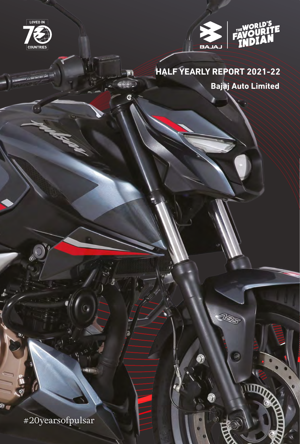



UZS

## **Bajaj Auto Limited HALF YEARLY REPORT 2021-22**

#20yearsofpulsar

97 (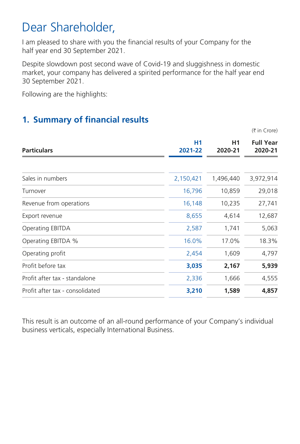# Dear Shareholder,

I am pleased to share with you the financial results of your Company for the half year end 30 September 2021.

Despite slowdown post second wave of Covid-19 and sluggishness in domestic market, your company has delivered a spirited performance for the half year end 30 September 2021.

Following are the highlights:

### **1. Summary of financial results**

 $($ ₹ in Crore)

| <b>Particulars</b>              | H <sub>1</sub><br>2021-22 | H1<br>2020-21 | <b>Full Year</b><br>2020-21 |
|---------------------------------|---------------------------|---------------|-----------------------------|
| Sales in numbers                | 2,150,421                 | 1,496,440     | 3,972,914                   |
|                                 |                           |               |                             |
| Turnover                        | 16,796                    | 10,859        | 29,018                      |
| Revenue from operations         | 16,148                    | 10,235        | 27,741                      |
| Export revenue                  | 8,655                     | 4,614         | 12,687                      |
| Operating EBITDA                | 2,587                     | 1,741         | 5,063                       |
| Operating EBITDA %              | 16.0%                     | 17.0%         | 18.3%                       |
| Operating profit                | 2,454                     | 1,609         | 4,797                       |
| Profit before tax               | 3,035                     | 2,167         | 5,939                       |
| Profit after tax - standalone   | 2,336                     | 1,666         | 4,555                       |
| Profit after tax - consolidated | 3,210                     | 1,589         | 4,857                       |

This result is an outcome of an all-round performance of your Company's individual business verticals, especially International Business.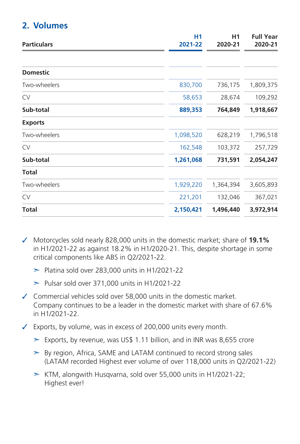#### **2. Volumes**

| <b>Particulars</b> | <b>H1</b><br>2021-22 | H <sub>1</sub><br>2020-21 | <b>Full Year</b><br>2020-21 |
|--------------------|----------------------|---------------------------|-----------------------------|
|                    |                      |                           |                             |
| <b>Domestic</b>    |                      |                           |                             |
| Two-wheelers       | 830,700              | 736,175                   | 1,809,375                   |
| <b>CV</b>          | 58,653               | 28,674                    | 109,292                     |
| Sub-total          | 889,353              | 764,849                   | 1,918,667                   |
| <b>Exports</b>     |                      |                           |                             |
| Two-wheelers       | 1,098,520            | 628,219                   | 1,796,518                   |
| <b>CV</b>          | 162,548              | 103,372                   | 257,729                     |
| Sub-total          | 1,261,068            | 731,591                   | 2,054,247                   |
| Total              |                      |                           |                             |
| Two-wheelers       | 1,929,220            | 1,364,394                 | 3,605,893                   |
| <b>CV</b>          | 221,201              | 132,046                   | 367,021                     |
| Total              | 2,150,421            | 1,496,440                 | 3,972,914                   |

✓ Motorcycles sold nearly 828,000 units in the domestic market; share of **19.1%** in H1/2021-22 as against 18.2% in H1/2020-21. This, despite shortage in some critical components like ABS in Q2/2021-22.

- $\blacktriangleright$  Platina sold over 283,000 units in H1/2021-22
- $\blacktriangleright$  Pulsar sold over 371,000 units in H1/2021-22
- ✓ Commercial vehicles sold over 58,000 units in the domestic market. Company continues to be a leader in the domestic market with share of 67.6% in H1/2021-22.

✓ Exports, by volume, was in excess of 200,000 units every month.

- $\geq$  Exports, by revenue, was US\$ 1.11 billion, and in INR was 8,655 crore
- $\geq$  By region, Africa, SAME and LATAM continued to record strong sales (LATAM recorded Highest ever volume of over 118,000 units in Q2/2021-22)
- $\triangleright$  KTM, alongwith Husqvarna, sold over 55,000 units in H1/2021-22; Highest ever!